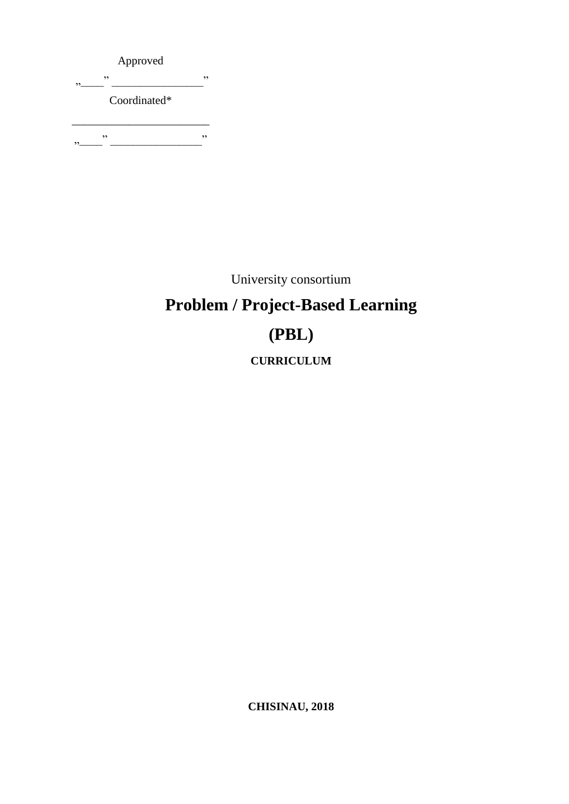Approved "\_\_\_\_" \_\_\_\_\_\_\_\_\_\_\_\_\_\_\_\_" Coordinated\* \_\_\_\_\_\_\_\_\_\_\_\_\_\_\_\_\_\_\_\_\_\_\_\_ "\_\_\_\_" \_\_\_\_\_\_\_\_\_\_\_\_\_\_\_\_"

University consortium

## **Problem / Project-Based Learning (PBL) CURRICULUM**

**CHISINAU, 2018**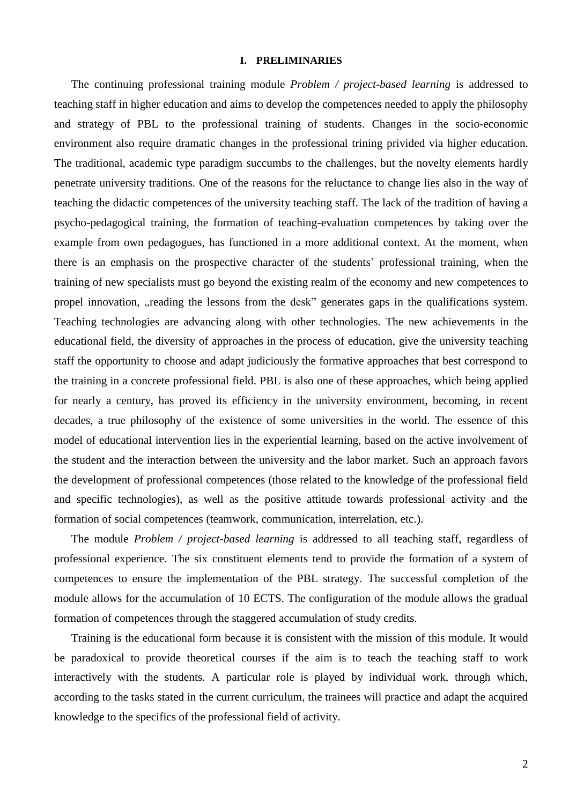#### **I. PRELIMINARIES**

The continuing professional training module *Problem / project-based learning* is addressed to teaching staff in higher education and aims to develop the competences needed to apply the philosophy and strategy of PBL to the professional training of students. Changes in the socio-economic environment also require dramatic changes in the professional trining privided via higher education. The traditional, academic type paradigm succumbs to the challenges, but the novelty elements hardly penetrate university traditions. One of the reasons for the reluctance to change lies also in the way of teaching the didactic competences of the university teaching staff. The lack of the tradition of having a psycho-pedagogical training, the formation of teaching-evaluation competences by taking over the example from own pedagogues, has functioned in a more additional context. At the moment, when there is an emphasis on the prospective character of the students' professional training, when the training of new specialists must go beyond the existing realm of the economy and new competences to propel innovation, reading the lessons from the desk" generates gaps in the qualifications system. Teaching technologies are advancing along with other technologies. The new achievements in the educational field, the diversity of approaches in the process of education, give the university teaching staff the opportunity to choose and adapt judiciously the formative approaches that best correspond to the training in a concrete professional field. PBL is also one of these approaches, which being applied for nearly a century, has proved its efficiency in the university environment, becoming, in recent decades, a true philosophy of the existence of some universities in the world. The essence of this model of educational intervention lies in the experiential learning, based on the active involvement of the student and the interaction between the university and the labor market. Such an approach favors the development of professional competences (those related to the knowledge of the professional field and specific technologies), as well as the positive attitude towards professional activity and the formation of social competences (teamwork, communication, interrelation, etc.).

The module *Problem / project-based learning* is addressed to all teaching staff, regardless of professional experience. The six constituent elements tend to provide the formation of a system of competences to ensure the implementation of the PBL strategy. The successful completion of the module allows for the accumulation of 10 ECTS. The configuration of the module allows the gradual formation of competences through the staggered accumulation of study credits.

Training is the educational form because it is consistent with the mission of this module. It would be paradoxical to provide theoretical courses if the aim is to teach the teaching staff to work interactively with the students. A particular role is played by individual work, through which, according to the tasks stated in the current curriculum, the trainees will practice and adapt the acquired knowledge to the specifics of the professional field of activity.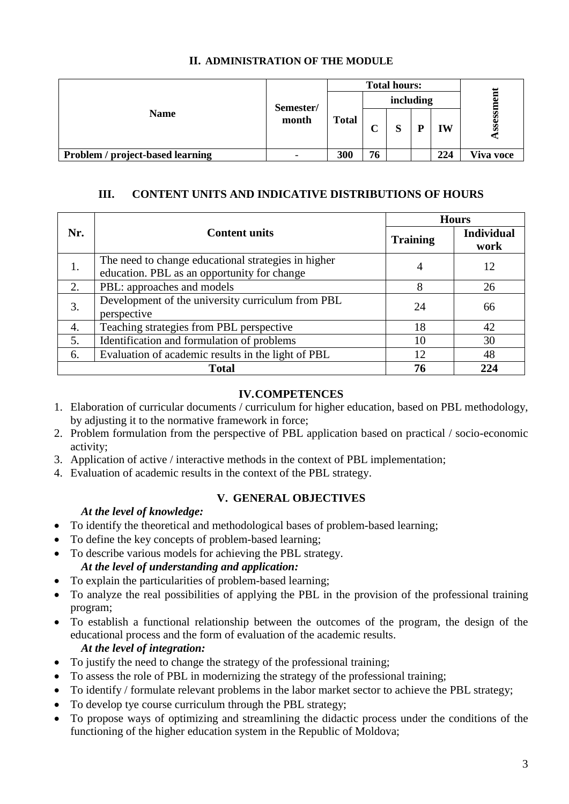|                                  | Semester/<br>month | <b>Total hours:</b> |                         |                   |   |     |               |
|----------------------------------|--------------------|---------------------|-------------------------|-------------------|---|-----|---------------|
|                                  |                    | <b>Total</b>        | including               |                   |   |     |               |
| <b>Name</b>                      |                    |                     | $\mathsf{\Gamma}$<br>L, | $\mathbf{C}$<br>N | D | IW  | <b>SSessi</b> |
| Problem / project-based learning |                    | 300                 | 76                      |                   |   | 224 | Viva voce     |

#### **II. ADMINISTRATION OF THE MODULE**

#### **III. CONTENT UNITS AND INDICATIVE DISTRIBUTIONS OF HOURS**

|     |                                                                                                    |                 | <b>Hours</b>              |  |  |
|-----|----------------------------------------------------------------------------------------------------|-----------------|---------------------------|--|--|
| Nr. | <b>Content units</b>                                                                               | <b>Training</b> | <b>Individual</b><br>work |  |  |
| 1.  | The need to change educational strategies in higher<br>education. PBL as an opportunity for change | 4               | 12                        |  |  |
| 2.  | PBL: approaches and models                                                                         | 8               | 26                        |  |  |
| 3.  | Development of the university curriculum from PBL<br>perspective                                   | 24              | 66                        |  |  |
| 4.  | Teaching strategies from PBL perspective                                                           | 18              | 42                        |  |  |
| 5.  | Identification and formulation of problems                                                         | 10              | 30                        |  |  |
| 6.  | Evaluation of academic results in the light of PBL                                                 | 12              | 48                        |  |  |
|     | <b>Total</b>                                                                                       | 76              | 224                       |  |  |

#### **IV.COMPETENCES**

- 1. Elaboration of curricular documents / curriculum for higher education, based on PBL methodology, by adjusting it to the normative framework in force;
- 2. Problem formulation from the perspective of PBL application based on practical / socio-economic activity;
- 3. Application of active / interactive methods in the context of PBL implementation;
- 4. Evaluation of academic results in the context of the PBL strategy.

#### **V. GENERAL OBJECTIVES**

#### *At the level of knowledge:*

- To identify the theoretical and methodological bases of problem-based learning;
- To define the key concepts of problem-based learning;
- To describe various models for achieving the PBL strategy. *At the level of understanding and application:*
- To explain the particularities of problem-based learning:
- To analyze the real possibilities of applying the PBL in the provision of the professional training program;
- To establish a functional relationship between the outcomes of the program, the design of the educational process and the form of evaluation of the academic results. *At the level of integration:*

## • To justify the need to change the strategy of the professional training;

- To assess the role of PBL in modernizing the strategy of the professional training;
- To identify / formulate relevant problems in the labor market sector to achieve the PBL strategy;
- To develop tye course curriculum through the PBL strategy;
- To propose ways of optimizing and streamlining the didactic process under the conditions of the functioning of the higher education system in the Republic of Moldova;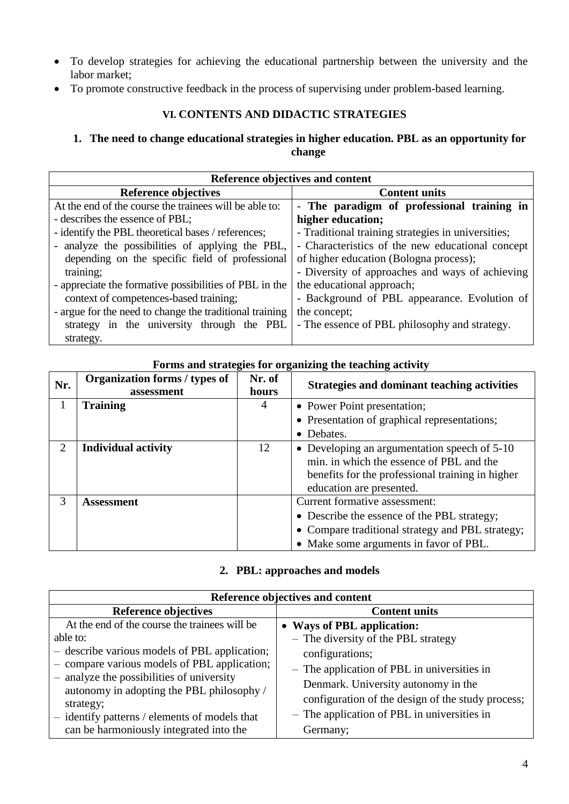- To develop strategies for achieving the educational partnership between the university and the labor market;
- To promote constructive feedback in the process of supervising under problem-based learning.

#### **VI. CONTENTS AND DIDACTIC STRATEGIES**

#### **1. The need to change educational strategies in higher education. PBL as an opportunity for change**

| Reference objectives and content                        |                                                    |  |
|---------------------------------------------------------|----------------------------------------------------|--|
| Reference objectives                                    | <b>Content units</b>                               |  |
| At the end of the course the trainees will be able to:  | - The paradigm of professional training in         |  |
| - describes the essence of PBL;                         | higher education;                                  |  |
| - identify the PBL theoretical bases / references;      | - Traditional training strategies in universities; |  |
| - analyze the possibilities of applying the PBL,        | - Characteristics of the new educational concept   |  |
| depending on the specific field of professional         | of higher education (Bologna process);             |  |
| training;                                               | - Diversity of approaches and ways of achieving    |  |
| - appreciate the formative possibilities of PBL in the  | the educational approach;                          |  |
| context of competences-based training;                  | - Background of PBL appearance. Evolution of       |  |
| - argue for the need to change the traditional training | the concept;                                       |  |
| strategy in the university through the PBL              | - The essence of PBL philosophy and strategy.      |  |
| strategy.                                               |                                                    |  |

#### **Forms and strategies for organizing the teaching activity**

| Nr. | Organization forms / types of<br>assessment | Nr. of<br>hours | <b>Strategies and dominant teaching activities</b>                                                                                                                       |
|-----|---------------------------------------------|-----------------|--------------------------------------------------------------------------------------------------------------------------------------------------------------------------|
|     | <b>Training</b>                             | 4               | • Power Point presentation;                                                                                                                                              |
|     |                                             |                 | • Presentation of graphical representations;                                                                                                                             |
|     |                                             |                 | • Debates.                                                                                                                                                               |
| 2.  | <b>Individual activity</b>                  | 12              | • Developing an argumentation speech of 5-10<br>min. in which the essence of PBL and the<br>benefits for the professional training in higher<br>education are presented. |
| 3   | <b>Assessment</b>                           |                 | Current formative assessment:                                                                                                                                            |
|     |                                             |                 | • Describe the essence of the PBL strategy;                                                                                                                              |
|     |                                             |                 | • Compare traditional strategy and PBL strategy;                                                                                                                         |
|     |                                             |                 | • Make some arguments in favor of PBL.                                                                                                                                   |

#### **2. PBL: approaches and models**

| Reference objectives and content                       |                                                   |  |
|--------------------------------------------------------|---------------------------------------------------|--|
| Reference objectives                                   | <b>Content units</b>                              |  |
| At the end of the course the trainees will be          | • Ways of PBL application:                        |  |
| able to:                                               | - The diversity of the PBL strategy               |  |
| - describe various models of PBL application;          | configurations;                                   |  |
| - compare various models of PBL application;           | - The application of PBL in universities in       |  |
| - analyze the possibilities of university              | Denmark. University autonomy in the               |  |
| autonomy in adopting the PBL philosophy /<br>strategy; | configuration of the design of the study process; |  |
| - identify patterns / elements of models that          | - The application of PBL in universities in       |  |
| can be harmoniously integrated into the                | Germany;                                          |  |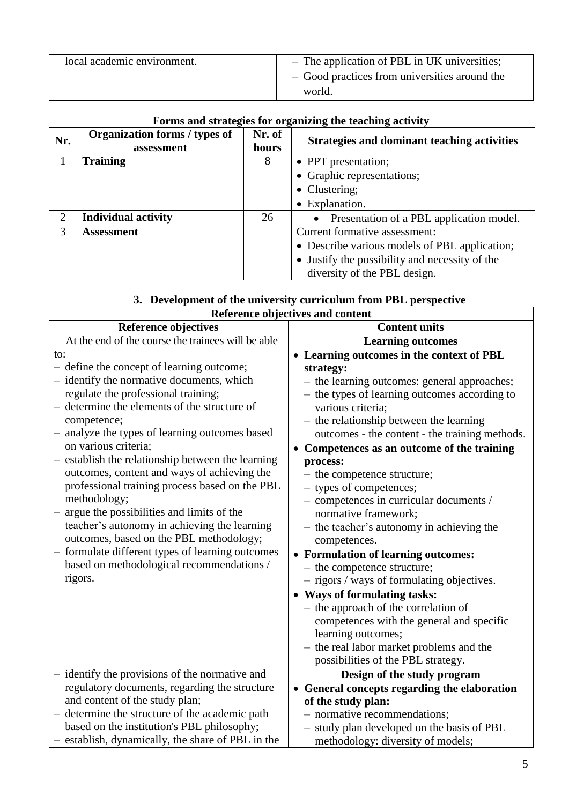| local academic environment. | - The application of PBL in UK universities;  |
|-----------------------------|-----------------------------------------------|
|                             | - Good practices from universities around the |
|                             | world.                                        |

|                | Put ins and strategies for organizing the teaching activity |                 |                                                       |  |
|----------------|-------------------------------------------------------------|-----------------|-------------------------------------------------------|--|
| Nr.            | Organization forms / types of<br>assessment                 | Nr. of<br>hours | <b>Strategies and dominant teaching activities</b>    |  |
|                | <b>Training</b>                                             | 8               | • PPT presentation;                                   |  |
|                |                                                             |                 | • Graphic representations;                            |  |
|                |                                                             |                 | • Clustering;                                         |  |
|                |                                                             |                 | $\bullet$ Explanation.                                |  |
| $\overline{2}$ | <b>Individual activity</b>                                  | 26              | Presentation of a PBL application model.<br>$\bullet$ |  |
| 3              | <b>Assessment</b>                                           |                 | Current formative assessment:                         |  |
|                |                                                             |                 | • Describe various models of PBL application;         |  |
|                |                                                             |                 | • Justify the possibility and necessity of the        |  |
|                |                                                             |                 | diversity of the PBL design.                          |  |

#### **Forms and strategies for organizing the teaching activity**

| 3. Development of the university curriculum from PBL perspective |  |  |
|------------------------------------------------------------------|--|--|
|                                                                  |  |  |

| Reference objectives and content                   |                                                |  |
|----------------------------------------------------|------------------------------------------------|--|
| <b>Reference objectives</b>                        | <b>Content units</b>                           |  |
| At the end of the course the trainees will be able | <b>Learning outcomes</b>                       |  |
| to:                                                | • Learning outcomes in the context of PBL      |  |
| - define the concept of learning outcome;          | strategy:                                      |  |
| - identify the normative documents, which          | - the learning outcomes: general approaches;   |  |
| regulate the professional training;                | - the types of learning outcomes according to  |  |
| - determine the elements of the structure of       | various criteria;                              |  |
| competence;                                        | - the relationship between the learning        |  |
| - analyze the types of learning outcomes based     | outcomes - the content - the training methods. |  |
| on various criteria;                               | • Competences as an outcome of the training    |  |
| - establish the relationship between the learning  | process:                                       |  |
| outcomes, content and ways of achieving the        | - the competence structure;                    |  |
| professional training process based on the PBL     | - types of competences;                        |  |
| methodology;                                       | - competences in curricular documents /        |  |
| - argue the possibilities and limits of the        | normative framework;                           |  |
| teacher's autonomy in achieving the learning       | - the teacher's autonomy in achieving the      |  |
| outcomes, based on the PBL methodology;            | competences.                                   |  |
| - formulate different types of learning outcomes   | • Formulation of learning outcomes:            |  |
| based on methodological recommendations /          | - the competence structure;                    |  |
| rigors.                                            | - rigors / ways of formulating objectives.     |  |
|                                                    | • Ways of formulating tasks:                   |  |
|                                                    | - the approach of the correlation of           |  |
|                                                    | competences with the general and specific      |  |
|                                                    | learning outcomes;                             |  |
|                                                    | - the real labor market problems and the       |  |
|                                                    | possibilities of the PBL strategy.             |  |
| - identify the provisions of the normative and     | Design of the study program                    |  |
| regulatory documents, regarding the structure      | • General concepts regarding the elaboration   |  |
| and content of the study plan;                     | of the study plan:                             |  |
| - determine the structure of the academic path     | - normative recommendations;                   |  |
| based on the institution's PBL philosophy;         | - study plan developed on the basis of PBL     |  |
| - establish, dynamically, the share of PBL in the  | methodology: diversity of models;              |  |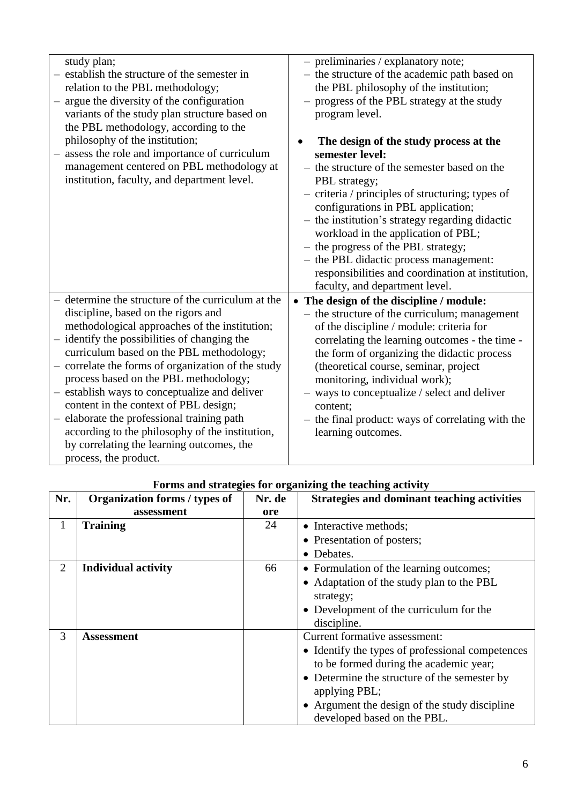| study plan;<br>establish the structure of the semester in<br>relation to the PBL methodology;<br>argue the diversity of the configuration<br>$\qquad \qquad -$<br>variants of the study plan structure based on<br>the PBL methodology, according to the<br>philosophy of the institution;<br>assess the role and importance of curriculum<br>management centered on PBL methodology at<br>institution, faculty, and department level.                                                                                                                                                                 | - preliminaries / explanatory note;<br>- the structure of the academic path based on<br>the PBL philosophy of the institution;<br>progress of the PBL strategy at the study<br>program level.<br>The design of the study process at the<br>semester level:<br>- the structure of the semester based on the<br>PBL strategy;<br>- criteria / principles of structuring; types of<br>configurations in PBL application;<br>- the institution's strategy regarding didactic<br>workload in the application of PBL;<br>- the progress of the PBL strategy;<br>- the PBL didactic process management:<br>responsibilities and coordination at institution,<br>faculty, and department level. |
|--------------------------------------------------------------------------------------------------------------------------------------------------------------------------------------------------------------------------------------------------------------------------------------------------------------------------------------------------------------------------------------------------------------------------------------------------------------------------------------------------------------------------------------------------------------------------------------------------------|-----------------------------------------------------------------------------------------------------------------------------------------------------------------------------------------------------------------------------------------------------------------------------------------------------------------------------------------------------------------------------------------------------------------------------------------------------------------------------------------------------------------------------------------------------------------------------------------------------------------------------------------------------------------------------------------|
| - determine the structure of the curriculum at the<br>discipline, based on the rigors and<br>methodological approaches of the institution;<br>- identify the possibilities of changing the<br>curriculum based on the PBL methodology;<br>- correlate the forms of organization of the study<br>process based on the PBL methodology;<br>- establish ways to conceptualize and deliver<br>content in the context of PBL design;<br>- elaborate the professional training path<br>according to the philosophy of the institution,<br>by correlating the learning outcomes, the<br>process, the product. | • The design of the discipline / module:<br>- the structure of the curriculum; management<br>of the discipline / module: criteria for<br>correlating the learning outcomes - the time -<br>the form of organizing the didactic process<br>(theoretical course, seminar, project<br>monitoring, individual work);<br>- ways to conceptualize / select and deliver<br>content;<br>- the final product: ways of correlating with the<br>learning outcomes.                                                                                                                                                                                                                                 |

| Nr.            | Organization forms / types of | o<br>Nr. de | <b>Strategies and dominant teaching activities</b> |
|----------------|-------------------------------|-------------|----------------------------------------------------|
|                | assessment                    | ore         |                                                    |
| 1              | <b>Training</b>               | 24          | • Interactive methods;                             |
|                |                               |             | • Presentation of posters;                         |
|                |                               |             | • Debates.                                         |
| $\overline{2}$ | <b>Individual activity</b>    | 66          | • Formulation of the learning outcomes;            |
|                |                               |             | • Adaptation of the study plan to the PBL          |
|                |                               |             | strategy;                                          |
|                |                               |             | • Development of the curriculum for the            |
|                |                               |             | discipline.                                        |
| 3              | <b>Assessment</b>             |             | Current formative assessment:                      |
|                |                               |             | • Identify the types of professional competences   |
|                |                               |             | to be formed during the academic year;             |
|                |                               |             | • Determine the structure of the semester by       |
|                |                               |             | applying PBL;                                      |
|                |                               |             | • Argument the design of the study discipline      |
|                |                               |             | developed based on the PBL.                        |

### **Forms and strategies for organizing the teaching activity**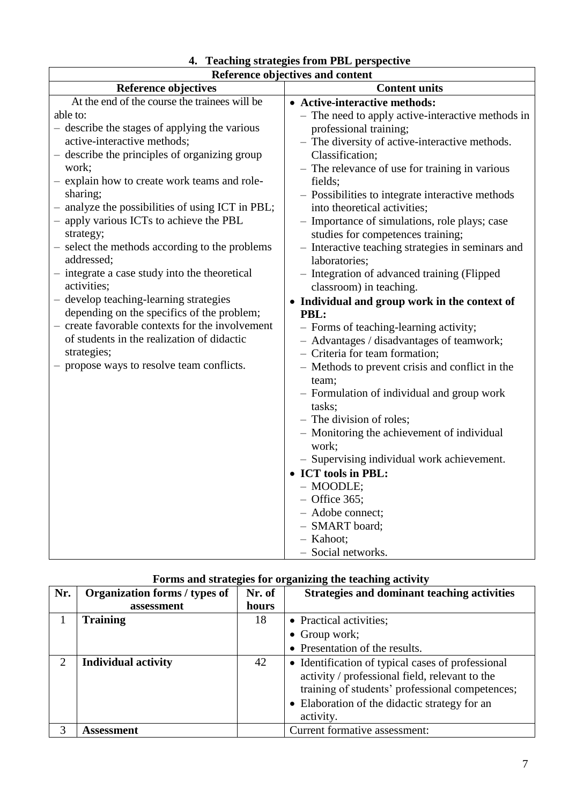| Reference objectives and content                                                                                                                                                                                                                                                                                                                                                                                                                                                                                                                                                                                                                                                                                                                                                         |                                                                                                                                                                                                                                                                                                                                                                                                                                                                                                                                                                                                                                                                                                                                                                                                                                                                                                                                                                                                                                                                                                                                                   |  |
|------------------------------------------------------------------------------------------------------------------------------------------------------------------------------------------------------------------------------------------------------------------------------------------------------------------------------------------------------------------------------------------------------------------------------------------------------------------------------------------------------------------------------------------------------------------------------------------------------------------------------------------------------------------------------------------------------------------------------------------------------------------------------------------|---------------------------------------------------------------------------------------------------------------------------------------------------------------------------------------------------------------------------------------------------------------------------------------------------------------------------------------------------------------------------------------------------------------------------------------------------------------------------------------------------------------------------------------------------------------------------------------------------------------------------------------------------------------------------------------------------------------------------------------------------------------------------------------------------------------------------------------------------------------------------------------------------------------------------------------------------------------------------------------------------------------------------------------------------------------------------------------------------------------------------------------------------|--|
| <b>Reference objectives</b>                                                                                                                                                                                                                                                                                                                                                                                                                                                                                                                                                                                                                                                                                                                                                              | <b>Content units</b>                                                                                                                                                                                                                                                                                                                                                                                                                                                                                                                                                                                                                                                                                                                                                                                                                                                                                                                                                                                                                                                                                                                              |  |
| At the end of the course the trainees will be<br>able to:<br>- describe the stages of applying the various<br>active-interactive methods;<br>- describe the principles of organizing group<br>work;<br>- explain how to create work teams and role-<br>sharing;<br>analyze the possibilities of using ICT in PBL;<br>$\overline{\phantom{0}}$<br>- apply various ICTs to achieve the PBL<br>strategy;<br>- select the methods according to the problems<br>addressed;<br>- integrate a case study into the theoretical<br>activities;<br>- develop teaching-learning strategies<br>depending on the specifics of the problem;<br>- create favorable contexts for the involvement<br>of students in the realization of didactic<br>strategies;<br>propose ways to resolve team conflicts. | • Active-interactive methods:<br>- The need to apply active-interactive methods in<br>professional training;<br>- The diversity of active-interactive methods.<br>Classification;<br>- The relevance of use for training in various<br>fields;<br>- Possibilities to integrate interactive methods<br>into theoretical activities;<br>- Importance of simulations, role plays; case<br>studies for competences training;<br>- Interactive teaching strategies in seminars and<br>laboratories;<br>- Integration of advanced training (Flipped<br>classroom) in teaching.<br>• Individual and group work in the context of<br>PBL:<br>- Forms of teaching-learning activity;<br>- Advantages / disadvantages of teamwork;<br>- Criteria for team formation;<br>- Methods to prevent crisis and conflict in the<br>team;<br>- Formulation of individual and group work<br>tasks;<br>- The division of roles;<br>- Monitoring the achievement of individual<br>work;<br>- Supervising individual work achievement.<br>• ICT tools in PBL:<br>$-$ MOODLE;<br>$-$ Office 365;<br>- Adobe connect;<br>- SMART board;<br>- Kahoot;<br>- Social networks. |  |

# **4. Teaching strategies from PBL perspective**

## **Forms and strategies for organizing the teaching activity**

| Nr.                         | Organization forms / types of | Nr. of | <b>Strategies and dominant teaching activities</b>                                                                                                                                                                   |
|-----------------------------|-------------------------------|--------|----------------------------------------------------------------------------------------------------------------------------------------------------------------------------------------------------------------------|
|                             | assessment                    | hours  |                                                                                                                                                                                                                      |
|                             | <b>Training</b>               | 18     | • Practical activities;                                                                                                                                                                                              |
|                             |                               |        | $\bullet$ Group work;                                                                                                                                                                                                |
|                             |                               |        | • Presentation of the results.                                                                                                                                                                                       |
| $\mathcal{D}_{\mathcal{A}}$ | <b>Individual activity</b>    | 42     | • Identification of typical cases of professional<br>activity / professional field, relevant to the<br>training of students' professional competences;<br>• Elaboration of the didactic strategy for an<br>activity. |
| 3                           | Assessment                    |        | Current formative assessment:                                                                                                                                                                                        |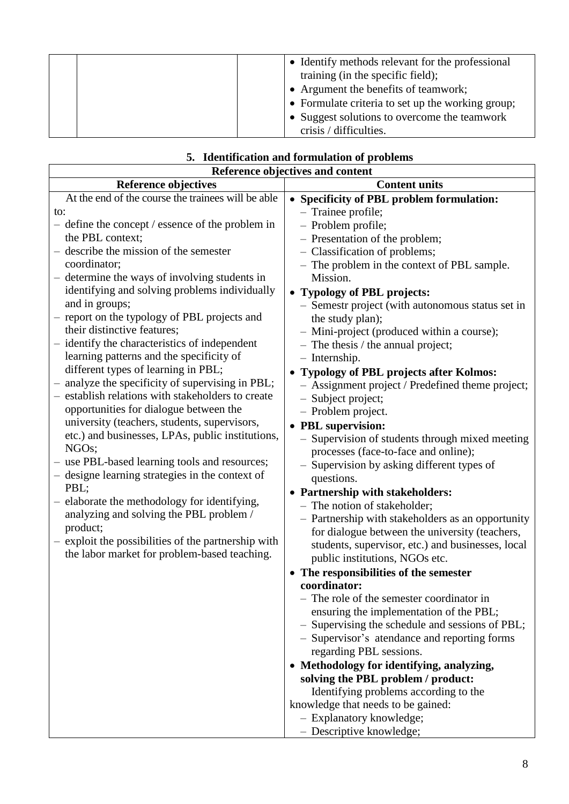|  | • Identify methods relevant for the professional  |
|--|---------------------------------------------------|
|  |                                                   |
|  | training (in the specific field);                 |
|  | • Argument the benefits of teamwork;              |
|  | • Formulate criteria to set up the working group; |
|  | • Suggest solutions to overcome the teamwork      |
|  | crisis / difficulties.                            |

|                                                                                                                                                                                                                                                                                                                                                                                                                                                                                                                                                                                                                                                                                                                                                                                                                                                                                                                                                                                                                                                                                                                                       | 5. Identification and formulation of problems                                                                                                                                                                                                                                                                                                                                                                                                                                                                                                                                                                                                                                                                                                                                                                                                                                                                                                                                                                                                                                                                                                                                                                                                                                                                                                                                                                                                                                                                |
|---------------------------------------------------------------------------------------------------------------------------------------------------------------------------------------------------------------------------------------------------------------------------------------------------------------------------------------------------------------------------------------------------------------------------------------------------------------------------------------------------------------------------------------------------------------------------------------------------------------------------------------------------------------------------------------------------------------------------------------------------------------------------------------------------------------------------------------------------------------------------------------------------------------------------------------------------------------------------------------------------------------------------------------------------------------------------------------------------------------------------------------|--------------------------------------------------------------------------------------------------------------------------------------------------------------------------------------------------------------------------------------------------------------------------------------------------------------------------------------------------------------------------------------------------------------------------------------------------------------------------------------------------------------------------------------------------------------------------------------------------------------------------------------------------------------------------------------------------------------------------------------------------------------------------------------------------------------------------------------------------------------------------------------------------------------------------------------------------------------------------------------------------------------------------------------------------------------------------------------------------------------------------------------------------------------------------------------------------------------------------------------------------------------------------------------------------------------------------------------------------------------------------------------------------------------------------------------------------------------------------------------------------------------|
|                                                                                                                                                                                                                                                                                                                                                                                                                                                                                                                                                                                                                                                                                                                                                                                                                                                                                                                                                                                                                                                                                                                                       | Reference objectives and content                                                                                                                                                                                                                                                                                                                                                                                                                                                                                                                                                                                                                                                                                                                                                                                                                                                                                                                                                                                                                                                                                                                                                                                                                                                                                                                                                                                                                                                                             |
| <b>Reference objectives</b>                                                                                                                                                                                                                                                                                                                                                                                                                                                                                                                                                                                                                                                                                                                                                                                                                                                                                                                                                                                                                                                                                                           | <b>Content units</b>                                                                                                                                                                                                                                                                                                                                                                                                                                                                                                                                                                                                                                                                                                                                                                                                                                                                                                                                                                                                                                                                                                                                                                                                                                                                                                                                                                                                                                                                                         |
| At the end of the course the trainees will be able<br>to:<br>- define the concept / essence of the problem in<br>the PBL context;<br>describe the mission of the semester<br>$\equiv$<br>coordinator;<br>- determine the ways of involving students in<br>identifying and solving problems individually<br>and in groups;<br>report on the typology of PBL projects and<br>their distinctive features;<br>- identify the characteristics of independent<br>learning patterns and the specificity of<br>different types of learning in PBL;<br>analyze the specificity of supervising in PBL;<br>establish relations with stakeholders to create<br>opportunities for dialogue between the<br>university (teachers, students, supervisors,<br>etc.) and businesses, LPAs, public institutions,<br>NGO <sub>s</sub> ;<br>use PBL-based learning tools and resources;<br>designe learning strategies in the context of<br>PBL;<br>elaborate the methodology for identifying,<br>analyzing and solving the PBL problem /<br>product;<br>exploit the possibilities of the partnership with<br>the labor market for problem-based teaching. | • Specificity of PBL problem formulation:<br>- Trainee profile;<br>- Problem profile;<br>- Presentation of the problem;<br>- Classification of problems;<br>- The problem in the context of PBL sample.<br>Mission.<br>• Typology of PBL projects:<br>- Semestr project (with autonomous status set in<br>the study plan);<br>- Mini-project (produced within a course);<br>$-$ The thesis / the annual project;<br>$-$ Internship.<br>• Typology of PBL projects after Kolmos:<br>- Assignment project / Predefined theme project;<br>- Subject project;<br>- Problem project.<br>• PBL supervision:<br>- Supervision of students through mixed meeting<br>processes (face-to-face and online);<br>- Supervision by asking different types of<br>questions.<br>• Partnership with stakeholders:<br>- The notion of stakeholder;<br>- Partnership with stakeholders as an opportunity<br>for dialogue between the university (teachers,<br>students, supervisor, etc.) and businesses, local<br>public institutions, NGOs etc.<br>• The responsibilities of the semester<br>coordinator:<br>- The role of the semester coordinator in<br>ensuring the implementation of the PBL;<br>- Supervising the schedule and sessions of PBL;<br>- Supervisor's atendance and reporting forms<br>regarding PBL sessions.<br>• Methodology for identifying, analyzing,<br>solving the PBL problem / product:<br>Identifying problems according to the<br>knowledge that needs to be gained:<br>- Explanatory knowledge; |

### **5. Identification and formulation of problems**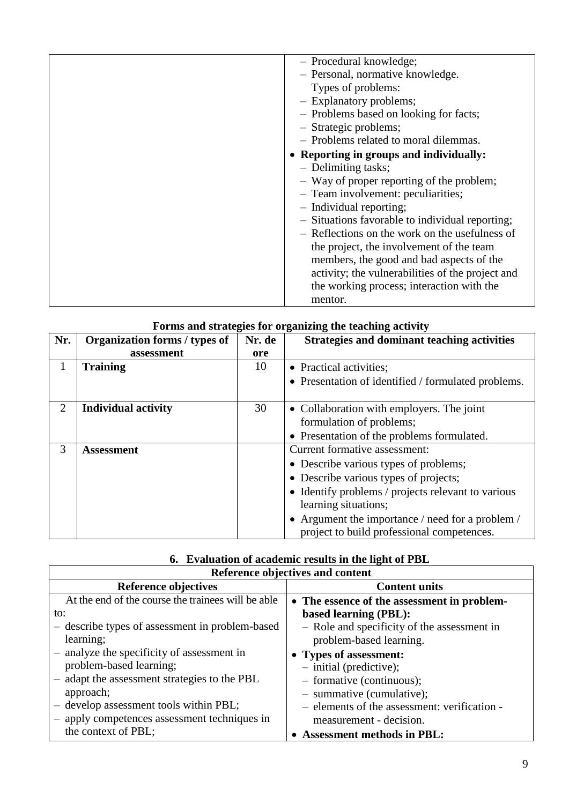| - Procedural knowledge;                          |
|--------------------------------------------------|
| - Personal, normative knowledge.                 |
| Types of problems:                               |
| - Explanatory problems;                          |
| - Problems based on looking for facts;           |
| - Strategic problems;                            |
| - Problems related to moral dilemmas.            |
| • Reporting in groups and individually:          |
| - Delimiting tasks;                              |
| - Way of proper reporting of the problem;        |
| - Team involvement: peculiarities;               |
| - Individual reporting;                          |
| - Situations favorable to individual reporting;  |
| - Reflections on the work on the usefulness of   |
| the project, the involvement of the team         |
| members, the good and bad aspects of the         |
| activity; the vulnerabilities of the project and |
| the working process; interaction with the        |
| mentor.                                          |
|                                                  |

| Forms and strategies for organizing the teaching activity |  |  |  |  |  |
|-----------------------------------------------------------|--|--|--|--|--|
|                                                           |  |  |  |  |  |

| Nr. | Organization forms / types of | Nr. de | <b>Strategies and dominant teaching activities</b>  |
|-----|-------------------------------|--------|-----------------------------------------------------|
|     | assessment                    | ore    |                                                     |
|     | <b>Training</b>               | 10     | • Practical activities;                             |
|     |                               |        | • Presentation of identified / formulated problems. |
|     |                               |        |                                                     |
| 2   | <b>Individual activity</b>    | 30     | • Collaboration with employers. The joint           |
|     |                               |        | formulation of problems;                            |
|     |                               |        | • Presentation of the problems formulated.          |
| 3   | <b>Assessment</b>             |        | Current formative assessment:                       |
|     |                               |        | • Describe various types of problems;               |
|     |                               |        | • Describe various types of projects;               |
|     |                               |        | • Identify problems / projects relevant to various  |
|     |                               |        | learning situations;                                |
|     |                               |        | • Argument the importance / need for a problem /    |
|     |                               |        | project to build professional competences.          |

## **6. Evaluation of academic results in the light of PBL**

| Reference objectives and content                   |                                              |  |  |  |  |
|----------------------------------------------------|----------------------------------------------|--|--|--|--|
| Reference objectives                               | <b>Content units</b>                         |  |  |  |  |
| At the end of the course the trainees will be able | • The essence of the assessment in problem-  |  |  |  |  |
| to:                                                | based learning (PBL):                        |  |  |  |  |
| - describe types of assessment in problem-based    | - Role and specificity of the assessment in  |  |  |  |  |
| learning;                                          | problem-based learning.                      |  |  |  |  |
| - analyze the specificity of assessment in         | • Types of assessment:                       |  |  |  |  |
| problem-based learning;                            | $-$ initial (predictive);                    |  |  |  |  |
| - adapt the assessment strategies to the PBL       | - formative (continuous);                    |  |  |  |  |
| approach;                                          | $-$ summative (cumulative);                  |  |  |  |  |
| - develop assessment tools within PBL;             | - elements of the assessment: verification - |  |  |  |  |
| - apply competences assessment techniques in       | measurement - decision.                      |  |  |  |  |
| the context of PBL;                                | <b>Assessment methods in PBL:</b>            |  |  |  |  |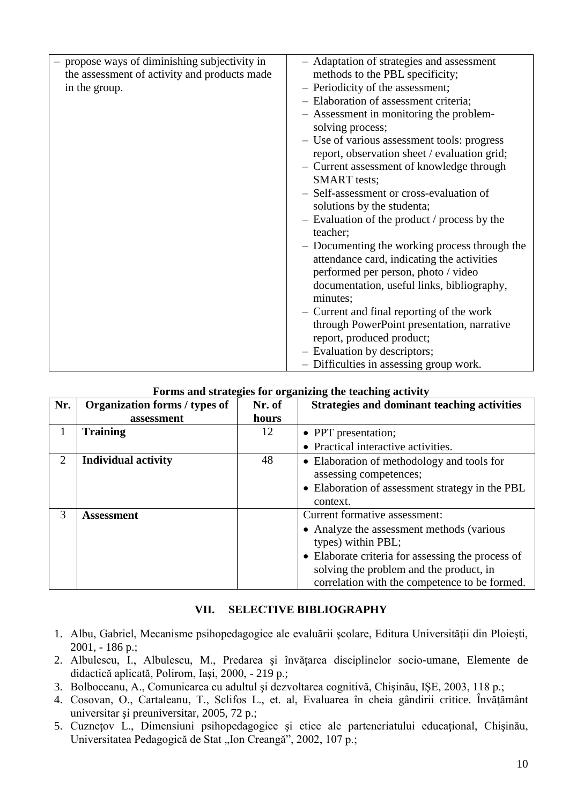| - propose ways of diminishing subjectivity in<br>- Adaptation of strategies and assessment<br>the assessment of activity and products made<br>methods to the PBL specificity;<br>- Periodicity of the assessment;<br>in the group.<br>- Elaboration of assessment criteria;<br>- Assessment in monitoring the problem-<br>solving process;<br>- Use of various assessment tools: progress<br>report, observation sheet / evaluation grid;<br>- Current assessment of knowledge through<br><b>SMART</b> tests;<br>- Self-assessment or cross-evaluation of<br>solutions by the studenta;<br>- Evaluation of the product / process by the<br>teacher;<br>- Documenting the working process through the<br>attendance card, indicating the activities<br>performed per person, photo / video<br>documentation, useful links, bibliography,<br>minutes;<br>- Current and final reporting of the work<br>through PowerPoint presentation, narrative<br>report, produced product;<br>- Evaluation by descriptors; |                                         |
|-------------------------------------------------------------------------------------------------------------------------------------------------------------------------------------------------------------------------------------------------------------------------------------------------------------------------------------------------------------------------------------------------------------------------------------------------------------------------------------------------------------------------------------------------------------------------------------------------------------------------------------------------------------------------------------------------------------------------------------------------------------------------------------------------------------------------------------------------------------------------------------------------------------------------------------------------------------------------------------------------------------|-----------------------------------------|
|                                                                                                                                                                                                                                                                                                                                                                                                                                                                                                                                                                                                                                                                                                                                                                                                                                                                                                                                                                                                             | - Difficulties in assessing group work. |

#### **Forms and strategies for organizing the teaching activity**

| Nr. | Organization forms / types of | $\mathbf{\sigma}$<br>Nr. of | <b>Strategies and dominant teaching activities</b> |
|-----|-------------------------------|-----------------------------|----------------------------------------------------|
|     | assessment                    | hours                       |                                                    |
|     | <b>Training</b>               | 12                          | • PPT presentation;                                |
|     |                               |                             | • Practical interactive activities.                |
| 2   | <b>Individual activity</b>    | 48                          | • Elaboration of methodology and tools for         |
|     |                               |                             | assessing competences;                             |
|     |                               |                             | • Elaboration of assessment strategy in the PBL    |
|     |                               |                             | context.                                           |
| 3   | <b>Assessment</b>             |                             | Current formative assessment:                      |
|     |                               |                             | • Analyze the assessment methods (various          |
|     |                               |                             | types) within PBL;                                 |
|     |                               |                             | • Elaborate criteria for assessing the process of  |
|     |                               |                             | solving the problem and the product, in            |
|     |                               |                             | correlation with the competence to be formed.      |

#### **VII. SELECTIVE BIBLIOGRAPHY**

- 1. Albu, Gabriel, Mecanisme psihopedagogice ale evaluării şcolare, Editura Universităţii din Ploieşti, 2001, - 186 p.;
- 2. Albulescu, I., Albulescu, M., Predarea şi învăţarea disciplinelor socio-umane, Elemente de didactică aplicată, Polirom, Iaşi, 2000, - 219 p.;
- 3. Bolboceanu, A., Comunicarea cu adultul şi dezvoltarea cognitivă, Chişinău, IŞE, 2003, 118 p.;
- 4. Cosovan, O., Cartaleanu, T., Sclifos L., et. al, Evaluarea în cheia gândirii critice. Învăţământ universitar şi preuniversitar, 2005, 72 p.;
- 5. Сuzneţov L., Dimensiuni psihopedagogice şi etice ale parteneriatului educaţional, Chişinău, Universitatea Pedagogică de Stat "Ion Creangă", 2002, 107 p.;